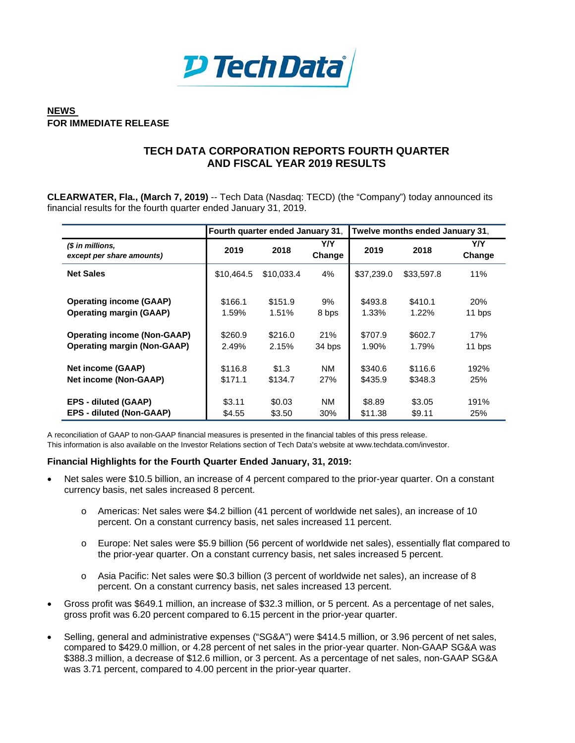

# **NEWS FOR IMMEDIATE RELEASE**

# **TECH DATA CORPORATION REPORTS FOURTH QUARTER AND FISCAL YEAR 2019 RESULTS**

**CLEARWATER, Fla., (March 7, 2019)** -- Tech Data (Nasdaq: TECD) (the "Company") today announced its financial results for the fourth quarter ended January 31, 2019.

|                                               | Fourth quarter ended January 31, |            |               | Twelve months ended January 31. |            |               |  |
|-----------------------------------------------|----------------------------------|------------|---------------|---------------------------------|------------|---------------|--|
| (\$ in millions,<br>except per share amounts) | 2019                             | 2018       | Y/Y<br>Change | 2019                            | 2018       | Y/Y<br>Change |  |
| <b>Net Sales</b>                              | \$10,464.5                       | \$10,033.4 | 4%            | \$37,239.0                      | \$33,597.8 | 11%           |  |
| <b>Operating income (GAAP)</b>                | \$166.1                          | \$151.9    | 9%            | \$493.8                         | \$410.1    | 20%           |  |
| <b>Operating margin (GAAP)</b>                | 1.59%                            | 1.51%      | 8 bps         | 1.33%                           | $1.22\%$   | 11 bps        |  |
| <b>Operating income (Non-GAAP)</b>            | \$260.9                          | \$216.0    | 21%           | \$707.9                         | \$602.7    | 17%           |  |
| <b>Operating margin (Non-GAAP)</b>            | 2.49%                            | 2.15%      | 34 bps        | 1.90%                           | 1.79%      | 11 bps        |  |
| Net income (GAAP)                             | \$116.8                          | \$1.3      | <b>NM</b>     | \$340.6                         | \$116.6    | 192%          |  |
| Net income (Non-GAAP)                         | \$171.1                          | \$134.7    | 27%           | \$435.9                         | \$348.3    | 25%           |  |
| <b>EPS - diluted (GAAP)</b>                   | \$3.11                           | \$0.03     | <b>NM</b>     | \$8.89                          | \$3.05     | 191%          |  |
| <b>EPS - diluted (Non-GAAP)</b>               | \$4.55                           | \$3.50     | 30%           | \$11.38                         | \$9.11     | 25%           |  |

A reconciliation of GAAP to non-GAAP financial measures is presented in the financial tables of this press release. This information is also available on the Investor Relations section of Tech Data's website a[t www.techdata.com/](http://www.techdata.com/)investor.

#### **Financial Highlights for the Fourth Quarter Ended January, 31, 2019:**

- Net sales were \$10.5 billion, an increase of 4 percent compared to the prior-year quarter. On a constant currency basis, net sales increased 8 percent.
	- o Americas: Net sales were \$4.2 billion (41 percent of worldwide net sales), an increase of 10 percent. On a constant currency basis, net sales increased 11 percent.
	- o Europe: Net sales were \$5.9 billion (56 percent of worldwide net sales), essentially flat compared to the prior-year quarter. On a constant currency basis, net sales increased 5 percent.
	- o Asia Pacific: Net sales were \$0.3 billion (3 percent of worldwide net sales), an increase of 8 percent. On a constant currency basis, net sales increased 13 percent.
- Gross profit was \$649.1 million, an increase of \$32.3 million, or 5 percent. As a percentage of net sales, gross profit was 6.20 percent compared to 6.15 percent in the prior-year quarter.
- Selling, general and administrative expenses ("SG&A") were \$414.5 million, or 3.96 percent of net sales, compared to \$429.0 million, or 4.28 percent of net sales in the prior-year quarter. Non-GAAP SG&A was \$388.3 million, a decrease of \$12.6 million, or 3 percent. As a percentage of net sales, non-GAAP SG&A was 3.71 percent, compared to 4.00 percent in the prior-year quarter.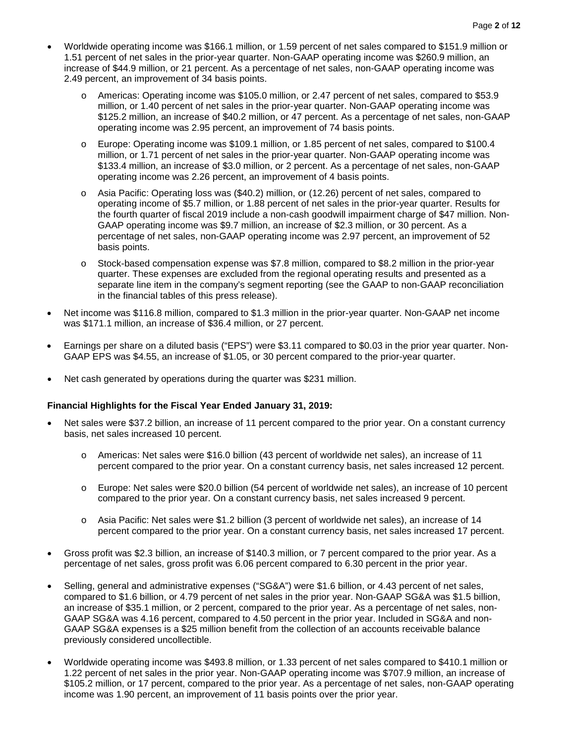- Worldwide operating income was \$166.1 million, or 1.59 percent of net sales compared to \$151.9 million or 1.51 percent of net sales in the prior-year quarter. Non-GAAP operating income was \$260.9 million, an increase of \$44.9 million, or 21 percent. As a percentage of net sales, non-GAAP operating income was 2.49 percent, an improvement of 34 basis points.
	- o Americas: Operating income was \$105.0 million, or 2.47 percent of net sales, compared to \$53.9 million, or 1.40 percent of net sales in the prior-year quarter. Non-GAAP operating income was \$125.2 million, an increase of \$40.2 million, or 47 percent. As a percentage of net sales, non-GAAP operating income was 2.95 percent, an improvement of 74 basis points.
	- o Europe: Operating income was \$109.1 million, or 1.85 percent of net sales, compared to \$100.4 million, or 1.71 percent of net sales in the prior-year quarter. Non-GAAP operating income was \$133.4 million, an increase of \$3.0 million, or 2 percent. As a percentage of net sales, non-GAAP operating income was 2.26 percent, an improvement of 4 basis points.
	- o Asia Pacific: Operating loss was (\$40.2) million, or (12.26) percent of net sales, compared to operating income of \$5.7 million, or 1.88 percent of net sales in the prior-year quarter. Results for the fourth quarter of fiscal 2019 include a non-cash goodwill impairment charge of \$47 million. Non-GAAP operating income was \$9.7 million, an increase of \$2.3 million, or 30 percent. As a percentage of net sales, non-GAAP operating income was 2.97 percent, an improvement of 52 basis points.
	- o Stock-based compensation expense was \$7.8 million, compared to \$8.2 million in the prior-year quarter. These expenses are excluded from the regional operating results and presented as a separate line item in the company's segment reporting (see the GAAP to non-GAAP reconciliation in the financial tables of this press release).
- Net income was \$116.8 million, compared to \$1.3 million in the prior-year quarter. Non-GAAP net income was \$171.1 million, an increase of \$36.4 million, or 27 percent.
- Earnings per share on a diluted basis ("EPS") were \$3.11 compared to \$0.03 in the prior year quarter. Non-GAAP EPS was \$4.55, an increase of \$1.05, or 30 percent compared to the prior-year quarter.
- Net cash generated by operations during the quarter was \$231 million.

# **Financial Highlights for the Fiscal Year Ended January 31, 2019:**

- Net sales were \$37.2 billion, an increase of 11 percent compared to the prior year. On a constant currency basis, net sales increased 10 percent.
	- o Americas: Net sales were \$16.0 billion (43 percent of worldwide net sales), an increase of 11 percent compared to the prior year. On a constant currency basis, net sales increased 12 percent.
	- o Europe: Net sales were \$20.0 billion (54 percent of worldwide net sales), an increase of 10 percent compared to the prior year. On a constant currency basis, net sales increased 9 percent.
	- o Asia Pacific: Net sales were \$1.2 billion (3 percent of worldwide net sales), an increase of 14 percent compared to the prior year. On a constant currency basis, net sales increased 17 percent.
- Gross profit was \$2.3 billion, an increase of \$140.3 million, or 7 percent compared to the prior year. As a percentage of net sales, gross profit was 6.06 percent compared to 6.30 percent in the prior year.
- Selling, general and administrative expenses ("SG&A") were \$1.6 billion, or 4.43 percent of net sales, compared to \$1.6 billion, or 4.79 percent of net sales in the prior year. Non-GAAP SG&A was \$1.5 billion, an increase of \$35.1 million, or 2 percent, compared to the prior year. As a percentage of net sales, non-GAAP SG&A was 4.16 percent, compared to 4.50 percent in the prior year. Included in SG&A and non-GAAP SG&A expenses is a \$25 million benefit from the collection of an accounts receivable balance previously considered uncollectible.
- Worldwide operating income was \$493.8 million, or 1.33 percent of net sales compared to \$410.1 million or 1.22 percent of net sales in the prior year. Non-GAAP operating income was \$707.9 million, an increase of \$105.2 million, or 17 percent, compared to the prior year. As a percentage of net sales, non-GAAP operating income was 1.90 percent, an improvement of 11 basis points over the prior year.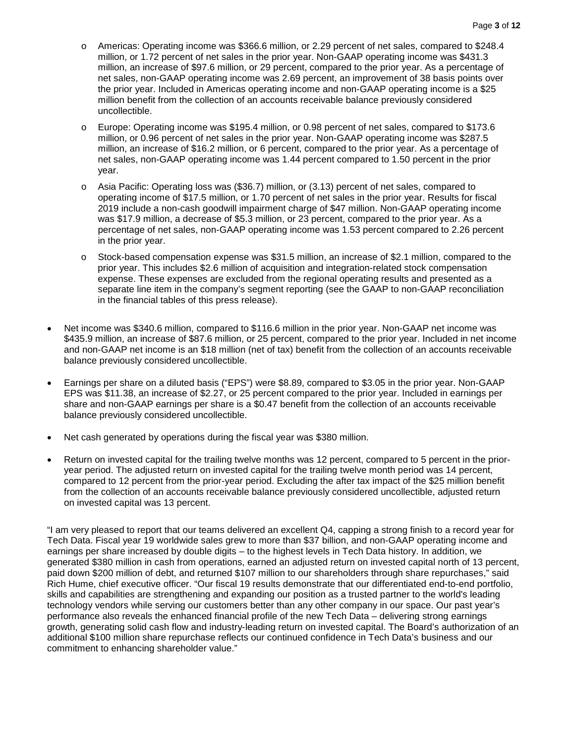- Americas: Operating income was \$366.6 million, or 2.29 percent of net sales, compared to \$248.4 million, or 1.72 percent of net sales in the prior year. Non-GAAP operating income was \$431.3 million, an increase of \$97.6 million, or 29 percent, compared to the prior year. As a percentage of net sales, non-GAAP operating income was 2.69 percent, an improvement of 38 basis points over the prior year. Included in Americas operating income and non-GAAP operating income is a \$25 million benefit from the collection of an accounts receivable balance previously considered uncollectible.
- o Europe: Operating income was \$195.4 million, or 0.98 percent of net sales, compared to \$173.6 million, or 0.96 percent of net sales in the prior year. Non-GAAP operating income was \$287.5 million, an increase of \$16.2 million, or 6 percent, compared to the prior year. As a percentage of net sales, non-GAAP operating income was 1.44 percent compared to 1.50 percent in the prior year.
- o Asia Pacific: Operating loss was (\$36.7) million, or (3.13) percent of net sales, compared to operating income of \$17.5 million, or 1.70 percent of net sales in the prior year. Results for fiscal 2019 include a non-cash goodwill impairment charge of \$47 million. Non-GAAP operating income was \$17.9 million, a decrease of \$5.3 million, or 23 percent, compared to the prior year. As a percentage of net sales, non-GAAP operating income was 1.53 percent compared to 2.26 percent in the prior year.
- o Stock-based compensation expense was \$31.5 million, an increase of \$2.1 million, compared to the prior year. This includes \$2.6 million of acquisition and integration-related stock compensation expense. These expenses are excluded from the regional operating results and presented as a separate line item in the company's segment reporting (see the GAAP to non-GAAP reconciliation in the financial tables of this press release).
- Net income was \$340.6 million, compared to \$116.6 million in the prior year. Non-GAAP net income was \$435.9 million, an increase of \$87.6 million, or 25 percent, compared to the prior year. Included in net income and non-GAAP net income is an \$18 million (net of tax) benefit from the collection of an accounts receivable balance previously considered uncollectible.
- Earnings per share on a diluted basis ("EPS") were \$8.89, compared to \$3.05 in the prior year. Non-GAAP EPS was \$11.38, an increase of \$2.27, or 25 percent compared to the prior year. Included in earnings per share and non-GAAP earnings per share is a \$0.47 benefit from the collection of an accounts receivable balance previously considered uncollectible.
- Net cash generated by operations during the fiscal year was \$380 million.
- Return on invested capital for the trailing twelve months was 12 percent, compared to 5 percent in the prioryear period. The adjusted return on invested capital for the trailing twelve month period was 14 percent, compared to 12 percent from the prior-year period. Excluding the after tax impact of the \$25 million benefit from the collection of an accounts receivable balance previously considered uncollectible, adjusted return on invested capital was 13 percent.

"I am very pleased to report that our teams delivered an excellent Q4, capping a strong finish to a record year for Tech Data. Fiscal year 19 worldwide sales grew to more than \$37 billion, and non-GAAP operating income and earnings per share increased by double digits – to the highest levels in Tech Data history. In addition, we generated \$380 million in cash from operations, earned an adjusted return on invested capital north of 13 percent, paid down \$200 million of debt, and returned \$107 million to our shareholders through share repurchases," said Rich Hume, chief executive officer. "Our fiscal 19 results demonstrate that our differentiated end-to-end portfolio, skills and capabilities are strengthening and expanding our position as a trusted partner to the world's leading technology vendors while serving our customers better than any other company in our space. Our past year's performance also reveals the enhanced financial profile of the new Tech Data – delivering strong earnings growth, generating solid cash flow and industry-leading return on invested capital. The Board's authorization of an additional \$100 million share repurchase reflects our continued confidence in Tech Data's business and our commitment to enhancing shareholder value."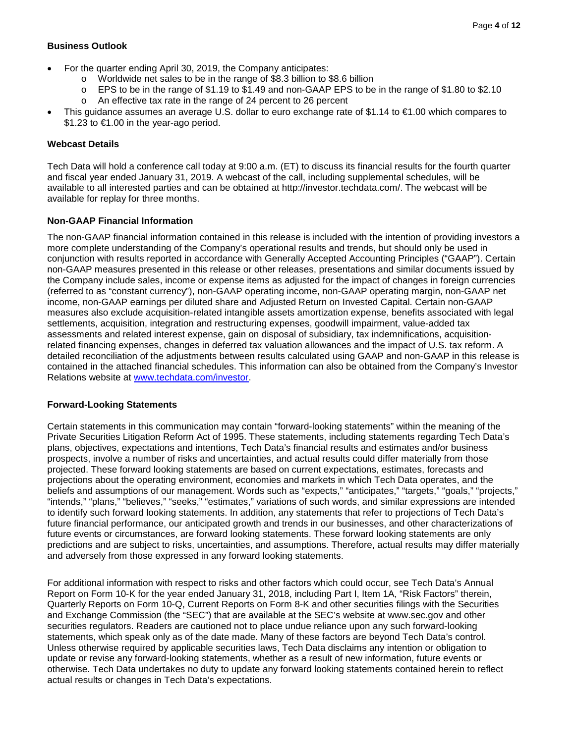# **Business Outlook**

- For the quarter ending April 30, 2019, the Company anticipates:
	- o Worldwide net sales to be in the range of \$8.3 billion to \$8.6 billion  $\circ$  EPS to be in the range of \$1.19 to \$1.49 and non-GAAP EPS to be
	- EPS to be in the range of \$1.19 to \$1.49 and non-GAAP EPS to be in the range of \$1.80 to \$2.10
		- o An effective tax rate in the range of 24 percent to 26 percent
- This guidance assumes an average U.S. dollar to euro exchange rate of \$1.14 to €1.00 which compares to \$1.23 to €1.00 in the year-ago period.

# **Webcast Details**

Tech Data will hold a conference call today at 9:00 a.m. (ET) to discuss its financial results for the fourth quarter and fiscal year ended January 31, 2019. A webcast of the call, including supplemental schedules, will be available to all interested parties and can be obtained at http://investor.techdata.com/. The webcast will be available for replay for three months.

# **Non-GAAP Financial Information**

The non-GAAP financial information contained in this release is included with the intention of providing investors a more complete understanding of the Company's operational results and trends, but should only be used in conjunction with results reported in accordance with Generally Accepted Accounting Principles ("GAAP"). Certain non-GAAP measures presented in this release or other releases, presentations and similar documents issued by the Company include sales, income or expense items as adjusted for the impact of changes in foreign currencies (referred to as "constant currency"), non-GAAP operating income, non-GAAP operating margin, non-GAAP net income, non-GAAP earnings per diluted share and Adjusted Return on Invested Capital. Certain non-GAAP measures also exclude acquisition-related intangible assets amortization expense, benefits associated with legal settlements, acquisition, integration and restructuring expenses, goodwill impairment, value-added tax assessments and related interest expense, gain on disposal of subsidiary, tax indemnifications, acquisitionrelated financing expenses, changes in deferred tax valuation allowances and the impact of U.S. tax reform. A detailed reconciliation of the adjustments between results calculated using GAAP and non-GAAP in this release is contained in the attached financial schedules. This information can also be obtained from the Company's Investor Relations website at [www.techdata.com/investor.](http://www.techdata.com/investor)

# **Forward-Looking Statements**

Certain statements in this communication may contain "forward-looking statements" within the meaning of the Private Securities Litigation Reform Act of 1995. These statements, including statements regarding Tech Data's plans, objectives, expectations and intentions, Tech Data's financial results and estimates and/or business prospects, involve a number of risks and uncertainties, and actual results could differ materially from those projected. These forward looking statements are based on current expectations, estimates, forecasts and projections about the operating environment, economies and markets in which Tech Data operates, and the beliefs and assumptions of our management. Words such as "expects," "anticipates," "targets," "goals," "projects," "intends," "plans," "believes," "seeks," "estimates," variations of such words, and similar expressions are intended to identify such forward looking statements. In addition, any statements that refer to projections of Tech Data's future financial performance, our anticipated growth and trends in our businesses, and other characterizations of future events or circumstances, are forward looking statements. These forward looking statements are only predictions and are subject to risks, uncertainties, and assumptions. Therefore, actual results may differ materially and adversely from those expressed in any forward looking statements.

For additional information with respect to risks and other factors which could occur, see Tech Data's Annual Report on Form 10-K for the year ended January 31, 2018, including Part I, Item 1A, "Risk Factors" therein, Quarterly Reports on Form 10-Q, Current Reports on Form 8-K and other securities filings with the Securities and Exchange Commission (the "SEC") that are available at the SEC's website at www.sec.gov and other securities regulators. Readers are cautioned not to place undue reliance upon any such forward-looking statements, which speak only as of the date made. Many of these factors are beyond Tech Data's control. Unless otherwise required by applicable securities laws, Tech Data disclaims any intention or obligation to update or revise any forward-looking statements, whether as a result of new information, future events or otherwise. Tech Data undertakes no duty to update any forward looking statements contained herein to reflect actual results or changes in Tech Data's expectations.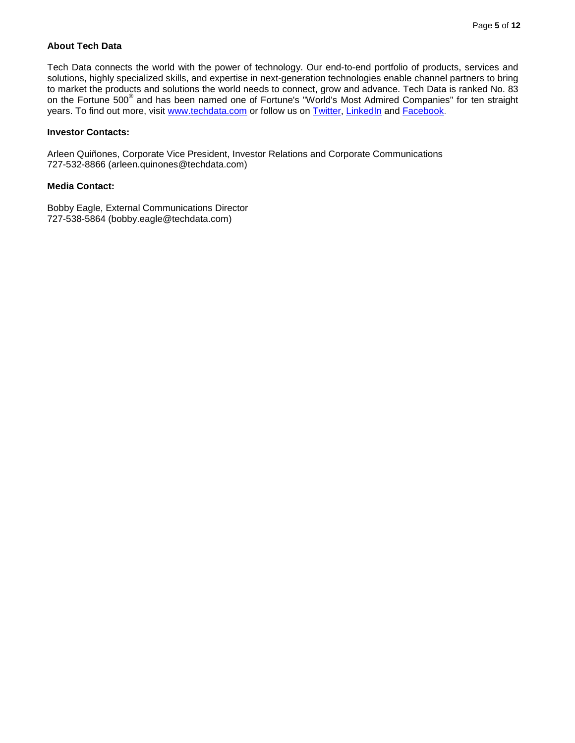# **About Tech Data**

Tech Data connects the world with the power of technology. Our end-to-end portfolio of products, services and solutions, highly specialized skills, and expertise in next-generation technologies enable channel partners to bring to market the products and solutions the world needs to connect, grow and advance. Tech Data is ranked No. 83 on the Fortune 500® and has been named one of Fortune's "World's Most Admired Companies" for ten straight years. To find out more, visit [www.techdata.com](http://www.techdata.com/) or follow us on [Twitter,](https://twitter.com/Tech_Data) [LinkedIn](https://www.linkedin.com/company-beta/2699/) and [Facebook.](https://www.facebook.com/TechDataCorporation/)

#### **Investor Contacts:**

Arleen Quiñones, Corporate Vice President, Investor Relations and Corporate Communications 727-532-8866 [\(arleen.quinones@techdata.com\)](mailto:arleen.quinones@techdata.com)

#### **Media Contact:**

Bobby Eagle, External Communications Director 727-538-5864 [\(bobby.eagle@techdata.com\)](mailto:chuck.dannewitz@techdata.com)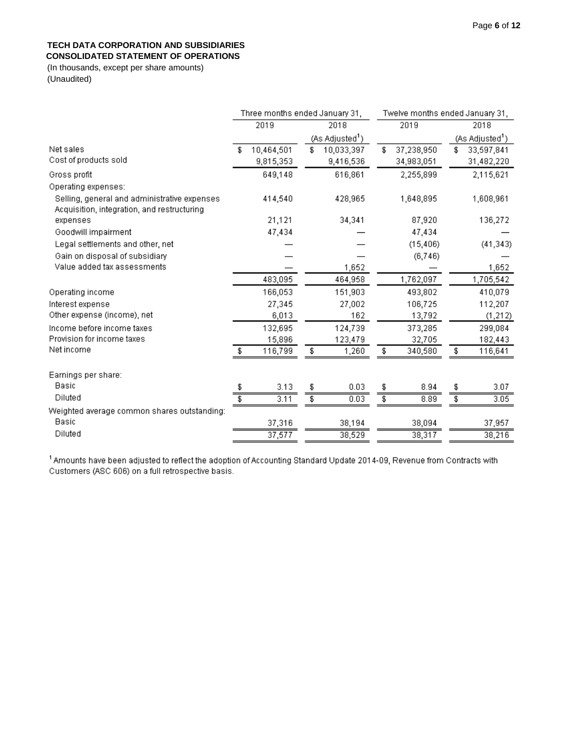### **TECH DATA CORPORATION AND SUBSIDIARIES CONSOLIDATED STATEMENT OF OPERATIONS**

(In thousands, except per share amounts) (Unaudited)

|                                                                                             | Three months ended January 31, |            |    |                             | Twelve months ended January 31, |            |    |                             |  |
|---------------------------------------------------------------------------------------------|--------------------------------|------------|----|-----------------------------|---------------------------------|------------|----|-----------------------------|--|
|                                                                                             |                                | 2019       |    | 2018                        |                                 | 2019       |    | 2018                        |  |
|                                                                                             |                                |            |    | (As Adjusted <sup>1</sup> ) |                                 |            |    | (As Adjusted <sup>1</sup> ) |  |
| Net sales                                                                                   | \$                             | 10,464,501 | \$ | 10,033,397                  | \$                              | 37,238,950 | \$ | 33,597,841                  |  |
| Cost of products sold                                                                       |                                | 9,815,353  |    | 9,416,536                   |                                 | 34,983,051 |    | 31,482,220                  |  |
| Gross profit                                                                                |                                | 649,148    |    | 616,861                     |                                 | 2,255,899  |    | 2,115,621                   |  |
| Operating expenses:                                                                         |                                |            |    |                             |                                 |            |    |                             |  |
| Selling, general and administrative expenses<br>Acquisition, integration, and restructuring |                                | 414,540    |    | 428,965                     |                                 | 1,648,895  |    | 1,608,961                   |  |
| expenses                                                                                    |                                | 21,121     |    | 34,341                      |                                 | 87,920     |    | 136,272                     |  |
| Goodwill impairment                                                                         |                                | 47,434     |    |                             |                                 | 47,434     |    |                             |  |
| Legal settlements and other, net                                                            |                                |            |    |                             |                                 | (15, 406)  |    | (41, 343)                   |  |
| Gain on disposal of subsidiary                                                              |                                |            |    |                             |                                 | (6, 746)   |    |                             |  |
| Value added tax assessments                                                                 |                                |            |    | 1,652                       |                                 |            |    | 1,652                       |  |
|                                                                                             |                                | 483,095    |    | 464,958                     |                                 | 1,762,097  |    | 1,705,542                   |  |
| Operating income                                                                            |                                | 166,053    |    | 151,903                     |                                 | 493,802    |    | 410,079                     |  |
| Interest expense                                                                            |                                | 27,345     |    | 27,002                      |                                 | 106,725    |    | 112,207                     |  |
| Other expense (income), net                                                                 |                                | 6,013      |    | 162                         |                                 | 13,792     |    | (1, 212)                    |  |
| Income before income taxes                                                                  |                                | 132,695    |    | 124,739                     |                                 | 373,285    |    | 299,084                     |  |
| Provision for income taxes                                                                  |                                | 15,896     |    | 123,479                     |                                 | 32,705     |    | 182,443                     |  |
| Net income                                                                                  | \$                             | 116,799    | \$ | 1,260                       | \$                              | 340,580    | \$ | 116,641                     |  |
| Earnings per share:                                                                         |                                |            |    |                             |                                 |            |    |                             |  |
| Basic                                                                                       | \$                             | 3.13       | \$ | 0.03                        | \$                              | 8.94       | \$ | 3.07                        |  |
| Diluted                                                                                     | \$                             | 3.11       | \$ | 0.03                        | \$                              | 8.89       | \$ | 3.05                        |  |
| Weighted average common shares outstanding:                                                 |                                |            |    |                             |                                 |            |    |                             |  |
| Basic                                                                                       |                                | 37,316     |    | 38,194                      |                                 | 38,094     |    | 37,957                      |  |
| Diluted                                                                                     |                                | 37,577     |    | 38,529                      |                                 | 38,317     |    | 38,216                      |  |

<sup>1</sup> Amounts have been adjusted to reflect the adoption of Accounting Standard Update 2014-09, Revenue from Contracts with Customers (ASC 606) on a full retrospective basis.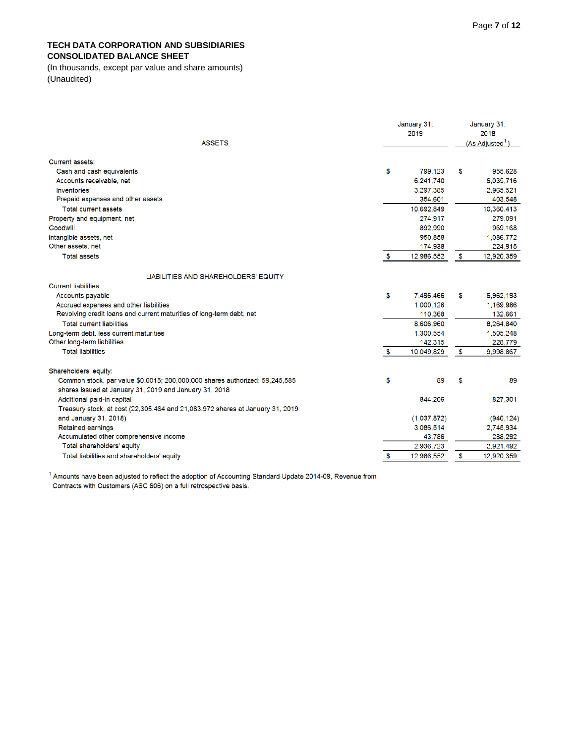#### **TECH DATA CORPORATION AND SUBSIDIARIES CONSOLIDATED BALANCE SHEET**

(In thousands, except par value and share amounts) (Unaudited)

|                                                                               |              | January 31,<br>2019 | January 31,<br>2018 |                             |  |
|-------------------------------------------------------------------------------|--------------|---------------------|---------------------|-----------------------------|--|
| <b>ASSETS</b>                                                                 |              |                     |                     | (As Adjusted <sup>1</sup> ) |  |
| <b>Current assets:</b>                                                        |              |                     |                     |                             |  |
| Cash and cash equivalents                                                     | \$           | 799.123             | \$.                 | 955,628                     |  |
| Accounts receivable, net                                                      |              | 6.241.740           |                     | 6.035.716                   |  |
| Inventories                                                                   |              | 3.297.385           |                     | 2.965.521                   |  |
| Prepaid expenses and other assets                                             |              | 354,601             |                     | 403,548                     |  |
| <b>Total current assets</b>                                                   |              | 10,692,849          |                     | 10,360,413                  |  |
| Property and equipment, net                                                   |              | 274,917             |                     | 279,091                     |  |
| Goodwill                                                                      |              | 892.990             |                     | 969,168                     |  |
| Intangible assets, net                                                        |              | 950,858             |                     | 1.086.772                   |  |
| Other assets, net                                                             |              | 174,938             |                     | 224,915                     |  |
| <b>Total assets</b>                                                           | $\mathbf{s}$ | 12,986,552          | \$                  | 12,920,359                  |  |
| LIABILITIES AND SHAREHOLDERS' EQUITY                                          |              |                     |                     |                             |  |
| <b>Current liabilities:</b>                                                   |              |                     |                     |                             |  |
| Accounts payable                                                              | S            | 7.496.466           | \$                  | 6,962,193                   |  |
| Accrued expenses and other liabilities                                        |              | 1,000,126           |                     | 1,169,986                   |  |
| Revolving credit loans and current maturities of long-term debt, net          |              | 110,368             |                     | 132,661                     |  |
| <b>Total current liabilities</b>                                              |              | 8,606,960           |                     | 8,264,840                   |  |
| Long-term debt, less current maturities                                       |              | 1,300,554           |                     | 1,505,248                   |  |
| Other long-term liabilities                                                   |              | 142.315             |                     | 228,779                     |  |
| <b>Total liabilities</b>                                                      | - \$         | 10,049,829          | \$                  | 9.998.867                   |  |
| Shareholders' equity:                                                         |              |                     |                     |                             |  |
| Common stock, par value \$0.0015; 200,000,000 shares authorized; 59,245,585   | \$           | 89                  | \$                  | 89                          |  |
| shares issued at January 31, 2019 and January 31, 2018                        |              |                     |                     |                             |  |
| Additional paid-in capital                                                    |              | 844.206             |                     | 827,301                     |  |
| Treasury stock, at cost (22,305,464 and 21,083,972 shares at January 31, 2019 |              |                     |                     |                             |  |
| and January 31, 2018)                                                         |              | (1,037,872)         |                     | (940, 124)                  |  |
| <b>Retained earnings</b>                                                      |              | 3,086,514           |                     | 2.745.934                   |  |
| Accumulated other comprehensive income                                        |              | 43.786              |                     | 288.292                     |  |
| Total shareholders' equity                                                    |              | 2.936.723           |                     | 2,921,492                   |  |
| Total liabilities and shareholders' equity                                    | \$           | 12.986.552          | \$                  | 12.920.359                  |  |
|                                                                               |              |                     |                     |                             |  |

 $^1$  Amounts have been adjusted to reflect the adoption of Accounting Standard Update 2014-09, Revenue from Contracts with Customers (ASC 606) on a full retrospective basis.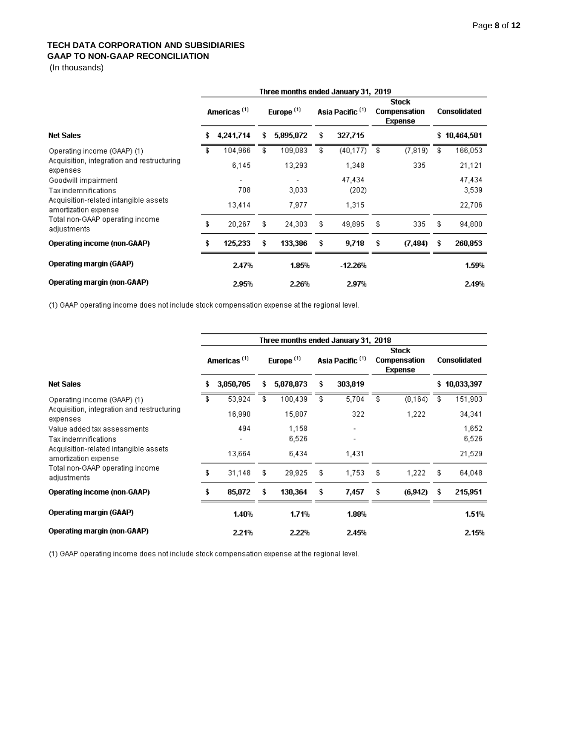(In thousands)

|                                                               | Three months ended January 31, 2019 |                         |     |                 |     |                             |    |                                         |     |              |
|---------------------------------------------------------------|-------------------------------------|-------------------------|-----|-----------------|-----|-----------------------------|----|-----------------------------------------|-----|--------------|
|                                                               |                                     | Americas <sup>(1)</sup> |     | Europe $^{(1)}$ |     | Asia Pacific <sup>(1)</sup> |    | Stock<br>Compensation<br><b>Expense</b> |     | Consolidated |
| <b>Net Sales</b>                                              | \$                                  | 4,241,714               | \$. | 5,895,072       | \$  | 327,715                     |    |                                         |     | \$10,464,501 |
| Operating income (GAAP) (1)                                   | \$                                  | 104,966                 | \$  | 109,083         | \$  | (40, 177)                   | \$ | (7, 819)                                | \$  | 166,053      |
| Acquisition, integration and restructuring<br>expenses        |                                     | 6,145                   |     | 13,293          |     | 1,348                       |    | 335                                     |     | 21,121       |
| Goodwill impairment                                           |                                     |                         |     |                 |     | 47,434                      |    |                                         |     | 47,434       |
| Tax indemnifications.                                         |                                     | 708                     |     | 3,033           |     | (202)                       |    |                                         |     | 3,539        |
| Acquisition-related intangible assets<br>amortization expense |                                     | 13,414                  |     | 7,977           |     | 1,315                       |    |                                         |     | 22,706       |
| Total non-GAAP operating income<br>adjustments                | \$                                  | 20,267                  | \$. | 24,303          | \$. | 49,895                      | \$ | 335                                     | \$. | 94,800       |
| <b>Operating income (non-GAAP)</b>                            |                                     | 125,233                 | \$  | 133,386         | \$  | 9,718                       | \$ | (7, 484)                                | \$  | 260,853      |
| <b>Operating margin (GAAP)</b>                                |                                     | 2.47%                   |     | 1.85%           |     | $-12.26%$                   |    |                                         |     | 1.59%        |
| Operating margin (non-GAAP)                                   |                                     | 2.95%                   |     | 2.26%           |     | 2.97%                       |    |                                         |     | 2.49%        |

(1) GAAP operating income does not include stock compensation expense at the regional level.

|                                                               | Three months ended January 31, 2018 |                         |     |              |    |                             |     |                                                |     |              |
|---------------------------------------------------------------|-------------------------------------|-------------------------|-----|--------------|----|-----------------------------|-----|------------------------------------------------|-----|--------------|
|                                                               |                                     | Americas <sup>(1)</sup> |     | Europe $(1)$ |    | Asia Pacific <sup>(1)</sup> |     | <b>Stock</b><br>Compensation<br><b>Expense</b> |     | Consolidated |
| <b>Net Sales</b>                                              | \$                                  | 3,850,705               | \$. | 5,878,873    | \$ | 303,819                     |     |                                                |     | \$10,033,397 |
| Operating income (GAAP) (1)                                   | \$                                  | 53,924                  | \$  | 100,439      | \$ | 5,704                       | \$. | (8, 164)                                       | \$  | 151,903      |
| Acquisition, integration and restructuring<br>expenses        |                                     | 16,990                  |     | 15,807       |    | 322                         |     | 1,222                                          |     | 34,341       |
| Value added tax assessments                                   |                                     | 494                     |     | 1.158        |    | -                           |     |                                                |     | 1,652        |
| Tax indemnifications                                          |                                     |                         |     | 6,526        |    | $\overline{\phantom{a}}$    |     |                                                |     | 6,526        |
| Acquisition-related intangible assets<br>amortization expense |                                     | 13,664                  |     | 6,434        |    | 1,431                       |     |                                                |     | 21,529       |
| Total non-GAAP operating income<br>adjustments                | £                                   | 31,148                  | \$. | 29,925       | \$ | 1,753                       | \$  | 1,222                                          | \$  | 64,048       |
| <b>Operating income (non-GAAP)</b>                            | \$                                  | 85,072                  | \$  | 130,364      | \$ | 7,457                       | \$  | (6, 942)                                       | -\$ | 215,951      |
| Operating margin (GAAP)                                       |                                     | 1.40%                   |     | 1.71%        |    | 1.88%                       |     |                                                |     | 1.51%        |
| Operating margin (non-GAAP)                                   |                                     | 2.21%                   |     | 2.22%        |    | 2.45%                       |     |                                                |     | 2.15%        |

(1) GAAP operating income does not include stock compensation expense at the regional level.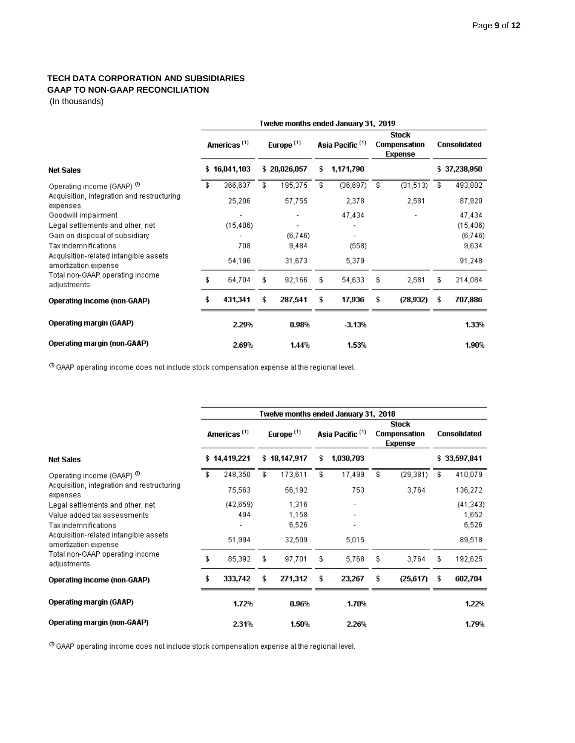(In thousands)

|                                                               | Twelve months ended January 31, 2019 |                         |    |                          |    |                             |    |                                                |    |                     |
|---------------------------------------------------------------|--------------------------------------|-------------------------|----|--------------------------|----|-----------------------------|----|------------------------------------------------|----|---------------------|
|                                                               |                                      | Americas <sup>(1)</sup> |    | Europe $(1)$             |    | Asia Pacific <sup>(1)</sup> |    | <b>Stock</b><br>Compensation<br><b>Expense</b> |    | <b>Consolidated</b> |
| <b>Net Sales</b>                                              | \$.                                  | 16,041,103              |    | \$20,026,057             | \$ | 1,171,790                   |    |                                                |    | \$37,238,950        |
| Operating income (GAAP) <sup>(0)</sup>                        |                                      | 366,637                 | £  | 195,375                  | \$ | (36, 697)                   | S  | (31, 513)                                      | \$ | 493,802             |
| Acquisition, integration and restructuring<br>expenses        |                                      | 25,206                  |    | 57,755                   |    | 2,378                       |    | 2,581                                          |    | 87,920              |
| Goodwill impairment                                           |                                      |                         |    | $\overline{\phantom{a}}$ |    | 47,434                      |    |                                                |    | 47,434              |
| Legal settlements and other, net                              |                                      | (15, 406)               |    |                          |    |                             |    |                                                |    | (15, 406)           |
| Gain on disposal of subsidiary                                |                                      |                         |    | (6,746)                  |    |                             |    |                                                |    | (6,746)             |
| Tax indemnifications                                          |                                      | 708                     |    | 9,484                    |    | (558)                       |    |                                                |    | 9,634               |
| Acquisition-related intangible assets<br>amortization expense |                                      | 54,196                  |    | 31,673                   |    | 5,379                       |    |                                                |    | 91,248              |
| Total non-GAAP operating income<br>adjustments                | \$                                   | 64,704                  | \$ | 92,166                   | \$ | 54,633                      | \$ | 2,581                                          | \$ | 214,084             |
| <b>Operating income (non-GAAP)</b>                            |                                      | 431,341                 | \$ | 287,541                  | \$ | 17,936                      | \$ | (28, 932)                                      | \$ | 707,886             |
| <b>Operating margin (GAAP)</b>                                |                                      | 2.29%                   |    | 0.98%                    |    | $-3.13%$                    |    |                                                |    | 1.33%               |
| Operating margin (non-GAAP)                                   |                                      | 2.69%                   |    | 1.44%                    |    | 1.53%                       |    |                                                |    | 1.90%               |

 $^{\text{\textregistered}}$  GAAP operating income does not include stock compensation expense at the regional level.

|                                                               | Twelve months ended January 31, 2018 |                         |     |              |    |                              |    |                                                |     |              |
|---------------------------------------------------------------|--------------------------------------|-------------------------|-----|--------------|----|------------------------------|----|------------------------------------------------|-----|--------------|
|                                                               |                                      | Americas <sup>(1)</sup> |     | Europe $(1)$ |    | Asia Pacific <sup>(1)</sup>  |    | <b>Stock</b><br>Compensation<br><b>Expense</b> |     | Consolidated |
| <b>Net Sales</b>                                              |                                      | \$14,419,221            |     | \$18,147,917 | \$ | 1,030,703                    |    |                                                |     | \$33,597,841 |
| Operating income (GAAP) <sup>(0)</sup>                        | \$                                   | 248,350                 | \$. | 173,611      | \$ | 17,499                       | \$ | (29, 381)                                      | \$  | 410,079      |
| Acquisition, integration and restructuring<br>expenses        |                                      | 75,563                  |     | 56,192       |    | 753                          |    | 3.764                                          |     | 136,272      |
| Legal settlements and other, net                              |                                      | (42, 659)               |     | 1,316        |    | $\overline{\phantom{a}}$     |    |                                                |     | (41, 343)    |
| Value added tax assessments                                   |                                      | 494                     |     | 1,158        |    | $\qquad \qquad \blacksquare$ |    |                                                |     | 1,652        |
| Tax indemnifications                                          |                                      |                         |     | 6,526        |    |                              |    |                                                |     | 6,526        |
| Acquisition-related intangible assets<br>amortization expense |                                      | 51,994                  |     | 32,509       |    | 5,015                        |    |                                                |     | 89,518       |
| Total non-GAAP operating income<br>adjustments                | \$                                   | 85,392                  | \$. | 97,701       | \$ | 5,768                        | \$ | 3,764                                          | \$  | 192,625      |
| <b>Operating income (non-GAAP)</b>                            | \$                                   | 333,742                 | \$. | 271,312      | \$ | 23,267                       | \$ | (25,617)                                       | -\$ | 602,704      |
| <b>Operating margin (GAAP)</b>                                |                                      | 1.72%                   |     | 0.96%        |    | 1.70%                        |    |                                                |     | 1.22%        |
| Operating margin (non-GAAP)                                   |                                      | 2.31%                   |     | 1.50%        |    | 2.26%                        |    |                                                |     | 1.79%        |

 $^{\text{\textregistered}}$  GAAP operating income does not include stock compensation expense at the regional level.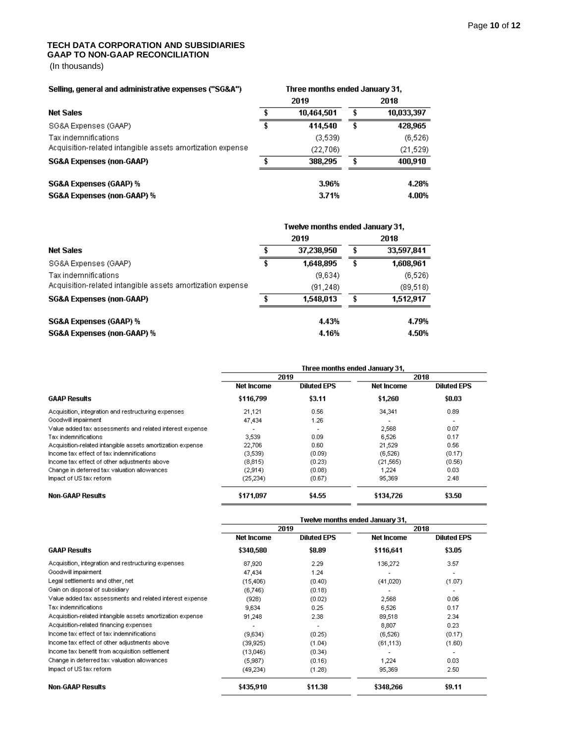(In thousands)

| Selling, general and administrative expenses ("SG&A")      | Three months ended January 31, |            |       |            |  |  |  |  |
|------------------------------------------------------------|--------------------------------|------------|-------|------------|--|--|--|--|
|                                                            |                                | 2019       | 2018  |            |  |  |  |  |
| <b>Net Sales</b>                                           |                                | 10,464,501 | \$    | 10,033,397 |  |  |  |  |
| SG&A Expenses (GAAP)                                       |                                | 414.540    | \$    | 428,965    |  |  |  |  |
| Tax indemnifications                                       |                                | (3,539)    |       | (6, 526)   |  |  |  |  |
| Acquisition-related intangible assets amortization expense |                                | (22, 706)  |       | (21, 529)  |  |  |  |  |
| <b>SG&amp;A Expenses (non-GAAP)</b>                        |                                | 388,295    | \$    | 400,910    |  |  |  |  |
| <b>SG&amp;A Expenses (GAAP)</b> %                          |                                | 3.96%      |       | 4.28%      |  |  |  |  |
| <b>SG&amp;A Expenses (non-GAAP) %</b>                      |                                | 3.71%      | 4.00% |            |  |  |  |  |

|                                                            | Twelve months ended January 31, |            |    |            |  |  |  |  |
|------------------------------------------------------------|---------------------------------|------------|----|------------|--|--|--|--|
|                                                            |                                 | 2019       |    | 2018       |  |  |  |  |
| <b>Net Sales</b>                                           | S                               | 37,238,950 | \$ | 33,597,841 |  |  |  |  |
| SG&A Expenses (GAAP)                                       | \$                              | 1,648,895  | \$ | 1,608,961  |  |  |  |  |
| Tax indemnifications                                       |                                 | (9,634)    |    | (6, 526)   |  |  |  |  |
| Acquisition-related intangible assets amortization expense |                                 | (91, 248)  |    | (89, 518)  |  |  |  |  |
| <b>SG&amp;A Expenses (non-GAAP)</b>                        | \$                              | 1,548,013  | \$ | 1,512,917  |  |  |  |  |
| <b>SG&amp;A Expenses (GAAP)</b> %                          |                                 | 4.43%      |    | 4.79%      |  |  |  |  |
| <b>SG&amp;A Expenses (non-GAAP) %</b>                      |                                 | 4.16%      |    | 4.50%      |  |  |  |  |

|                                                            |                   | Three months ended January 31, |                          |                          |
|------------------------------------------------------------|-------------------|--------------------------------|--------------------------|--------------------------|
|                                                            |                   | 2019                           |                          | 2018                     |
|                                                            | <b>Net Income</b> | <b>Diluted EPS</b>             | <b>Net Income</b>        | <b>Diluted EPS</b>       |
| <b>GAAP Results</b>                                        | \$116,799         | \$3.11                         | \$1,260                  | \$0.03                   |
| Acquisition, integration and restructuring expenses        | 21,121            | 0.56                           | 34,341                   | 0.89                     |
| Goodwill impairment                                        | 47,434            | 1.26                           | $\overline{\phantom{a}}$ | $\overline{\phantom{0}}$ |
| Value added tax assessments and related interest expense   |                   | $\overline{\phantom{a}}$       | 2,568                    | 0.07                     |
| Tax indemnifications                                       | 3,539             | 0.09                           | 6,526                    | 0.17                     |
| Acquisition-related intangible assets amortization expense | 22,706            | 0.60                           | 21,529                   | 0.56                     |
| Income tax effect of tax indemnifications                  | (3,539)           | (0.09)                         | (6,526)                  | (0.17)                   |
| Income tax effect of other adjustments above               | (8,815)           | (0.23)                         | (21, 565)                | (0.56)                   |
| Change in deferred tax valuation allowances                | (2,914)           | (0.08)                         | 1.224                    | 0.03                     |
| Impact of US tax reform                                    | (25, 234)         | (0.67)                         | 95,369                   | 2.48                     |
| <b>Non-GAAP Results</b>                                    | \$171,097         | \$4.55                         | \$134,726                | \$3.50                   |

|                                                            | Twelve months ended January 31, |                    |                   |                    |  |  |  |  |  |  |
|------------------------------------------------------------|---------------------------------|--------------------|-------------------|--------------------|--|--|--|--|--|--|
|                                                            |                                 | 2019               |                   | 2018               |  |  |  |  |  |  |
|                                                            | <b>Net Income</b>               | <b>Diluted EPS</b> | <b>Net Income</b> | <b>Diluted EPS</b> |  |  |  |  |  |  |
| <b>GAAP Results</b>                                        | \$340,580                       | \$8.89             | \$116,641         | \$3.05             |  |  |  |  |  |  |
| Acquisition, integration and restructuring expenses        | 87,920                          | 2.29               | 136,272           | 3.57               |  |  |  |  |  |  |
| Goodwill impairment                                        | 47,434                          | 1.24               |                   | ٠                  |  |  |  |  |  |  |
| Legal settlements and other, net                           | (15, 406)                       | (0.40)             | (41,020)          | (1.07)             |  |  |  |  |  |  |
| Gain on disposal of subsidiary                             | (6,746)                         | (0.18)             |                   |                    |  |  |  |  |  |  |
| Value added tax assessments and related interest expense   | (928)                           | (0.02)             | 2,568             | 0.06               |  |  |  |  |  |  |
| Tax indemnifications                                       | 9,634                           | 0.25               | 6,526             | 0.17               |  |  |  |  |  |  |
| Acquisition-related intangible assets amortization expense | 91,248                          | 2.38               | 89,518            | 2.34               |  |  |  |  |  |  |
| Acquisition-related financing expenses                     |                                 |                    | 8,807             | 0.23               |  |  |  |  |  |  |
| Income tax effect of tax indemnifications                  | (9,634)                         | (0.25)             | (6,526)           | (0.17)             |  |  |  |  |  |  |
| Income tax effect of other adjustments above               | (39, 925)                       | (1.04)             | (61, 113)         | (1.60)             |  |  |  |  |  |  |
| Income tax benefit from acquisition settlement             | (13,046)                        | (0.34)             |                   |                    |  |  |  |  |  |  |
| Change in deferred tax valuation allowances                | (5,987)                         | (0.16)             | 1,224             | 0.03               |  |  |  |  |  |  |
| Impact of US tax reform                                    | (49, 234)                       | (1.28)             | 95,369            | 2.50               |  |  |  |  |  |  |
| <b>Non-GAAP Results</b>                                    | \$435,910                       | \$11.38            | \$348,266         | \$9.11             |  |  |  |  |  |  |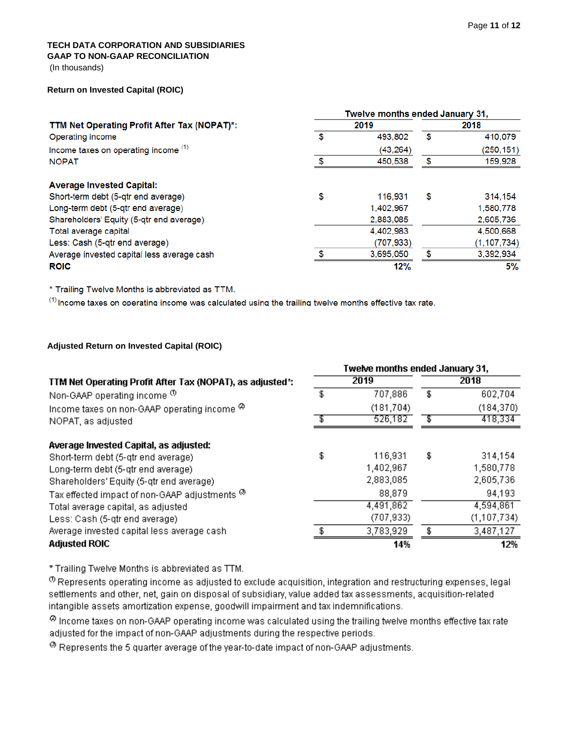(In thousands)

#### **Return on Invested Capital (ROIC)**

|                                              | Twelve months ended January 31, |           |      |               |  |  |  |  |
|----------------------------------------------|---------------------------------|-----------|------|---------------|--|--|--|--|
| TTM Net Operating Profit After Tax (NOPAT)*: |                                 | 2019      | 2018 |               |  |  |  |  |
| Operating income                             |                                 | 493.802   | \$   | 410,079       |  |  |  |  |
| Income taxes on operating income (1)         |                                 | (43, 264) |      | (250, 151)    |  |  |  |  |
| <b>NOPAT</b>                                 | -\$                             | 450,538   | \$   | 159,928       |  |  |  |  |
| <b>Average Invested Capital:</b>             |                                 |           |      |               |  |  |  |  |
| Short-term debt (5-qtr end average)          | \$                              | 116.931   | \$   | 314.154       |  |  |  |  |
| Long-term debt (5-qtr end average)           |                                 | 1.402.967 |      | 1,580,778     |  |  |  |  |
| Shareholders' Equity (5-qtr end average)     |                                 | 2,883,085 |      | 2,605,736     |  |  |  |  |
| Total average capital                        |                                 | 4.402.983 |      | 4.500.668     |  |  |  |  |
| Less: Cash (5-qtr end average)               |                                 | (707.933) |      | (1, 107, 734) |  |  |  |  |
| Average invested capital less average cash   |                                 | 3,695,050 | \$   | 3,392,934     |  |  |  |  |
| <b>ROIC</b>                                  |                                 | 12%       |      | <b>5%</b>     |  |  |  |  |

\* Trailing Twelve Months is abbreviated as TTM.

<sup>(1)</sup> Income taxes on operating income was calculated using the trailing twelve months effective tax rate.

#### **Adjusted Return on Invested Capital (ROIC)**

|                                                           | Twelve months ended January 31, |            |    |               |  |
|-----------------------------------------------------------|---------------------------------|------------|----|---------------|--|
| TTM Net Operating Profit After Tax (NOPAT), as adjusted*: |                                 | 2019       |    | 2018          |  |
| Non-GAAP operating income <sup>(0)</sup>                  |                                 | 707,886    | \$ | 602,704       |  |
| Income taxes on non-GAAP operating income <sup>@</sup>    |                                 | (181, 704) |    | (184, 370)    |  |
| NOPAT, as adjusted                                        |                                 | 526,182    |    | 418,334       |  |
| Average Invested Capital, as adjusted:                    |                                 |            |    |               |  |
| Short-term debt (5-qtr end average)                       | \$                              | 116,931    | \$ | 314,154       |  |
| Long-term debt (5-qtr end average)                        |                                 | 1,402,967  |    | 1,580,778     |  |
| Shareholders' Equity (5-qtr end average)                  |                                 | 2,883,085  |    | 2,605,736     |  |
| Tax effected impact of non-GAAP adjustments $^\circledR$  |                                 | 88,879     |    | 94,193        |  |
| Total average capital, as adjusted                        |                                 | 4,491,862  |    | 4,594,861     |  |
| Less: Cash (5-gtr end average)                            |                                 | (707, 933) |    | (1, 107, 734) |  |
| Average invested capital less average cash                |                                 | 3,783,929  | £  | 3,487,127     |  |
| <b>Adjusted ROIC</b>                                      |                                 | 14%        |    | 12%           |  |

\* Trailing Twelve Months is abbreviated as TTM.

 $^\circledR$  Represents operating income as adjusted to exclude acquisition, integration and restructuring expenses, legal settlements and other, net, gain on disposal of subsidiary, value added tax assessments, acquisition-related intangible assets amortization expense, goodwill impairment and tax indemnifications.

 $^\text{\textregistered}$  Income taxes on non-GAAP operating income was calculated using the trailing twelve months effective tax rate adjusted for the impact of non-GAAP adjustments during the respective periods.

® Represents the 5 quarter average of the year-to-date impact of non-GAAP adjustments.